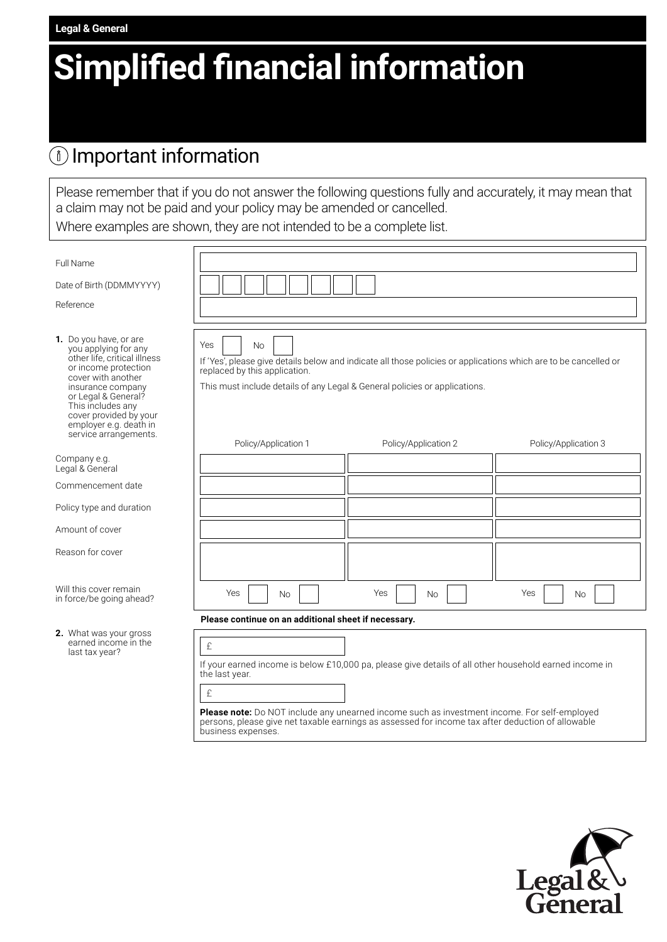# **Simplified financial information**

### Important information

**Legal & General**

Please remember that if you do not answer the following questions fully and accurately, it may mean that a claim may not be paid and your policy may be amended or cancelled.

Where examples are shown, they are not intended to be a complete list.

| Yes<br><b>No</b><br>replaced by this application. | If 'Yes', please give details below and indicate all those policies or applications which are to be cancelled or<br>This must include details of any Legal & General policies or applications. |                                                                                                                                                                                                                                                                                                                                                                                                  |
|---------------------------------------------------|------------------------------------------------------------------------------------------------------------------------------------------------------------------------------------------------|--------------------------------------------------------------------------------------------------------------------------------------------------------------------------------------------------------------------------------------------------------------------------------------------------------------------------------------------------------------------------------------------------|
|                                                   |                                                                                                                                                                                                |                                                                                                                                                                                                                                                                                                                                                                                                  |
|                                                   |                                                                                                                                                                                                |                                                                                                                                                                                                                                                                                                                                                                                                  |
|                                                   |                                                                                                                                                                                                |                                                                                                                                                                                                                                                                                                                                                                                                  |
|                                                   |                                                                                                                                                                                                |                                                                                                                                                                                                                                                                                                                                                                                                  |
| Policy/Application 1                              | Policy/Application 2                                                                                                                                                                           | Policy/Application 3                                                                                                                                                                                                                                                                                                                                                                             |
|                                                   |                                                                                                                                                                                                |                                                                                                                                                                                                                                                                                                                                                                                                  |
|                                                   |                                                                                                                                                                                                |                                                                                                                                                                                                                                                                                                                                                                                                  |
|                                                   |                                                                                                                                                                                                |                                                                                                                                                                                                                                                                                                                                                                                                  |
|                                                   |                                                                                                                                                                                                |                                                                                                                                                                                                                                                                                                                                                                                                  |
|                                                   |                                                                                                                                                                                                |                                                                                                                                                                                                                                                                                                                                                                                                  |
| Yes<br><b>No</b>                                  | Yes<br><b>No</b>                                                                                                                                                                               | Yes<br><b>No</b>                                                                                                                                                                                                                                                                                                                                                                                 |
|                                                   |                                                                                                                                                                                                |                                                                                                                                                                                                                                                                                                                                                                                                  |
| £<br>the last year.<br>£                          |                                                                                                                                                                                                |                                                                                                                                                                                                                                                                                                                                                                                                  |
|                                                   |                                                                                                                                                                                                | Please continue on an additional sheet if necessary.<br>If your earned income is below £10,000 pa, please give details of all other household earned income in<br><b>Please note:</b> Do NOT include any unearned income such as investment income. For self-employed<br>persons, please give net taxable earnings as assessed for income tax after deduction of allowable<br>business expenses. |